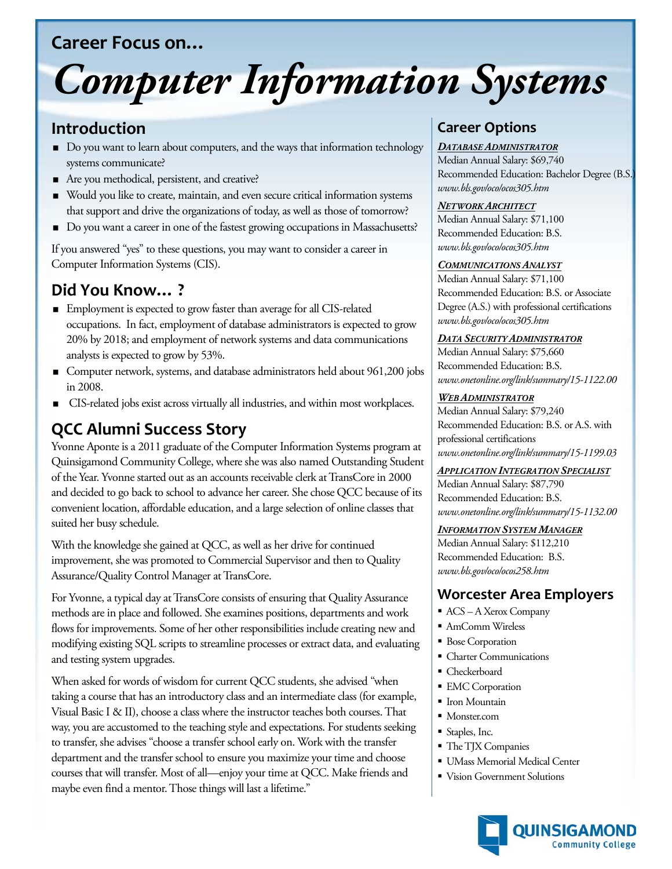## **Career Focus on…**

# *Computer Information Systems*

## **Introduction**

- Do you want to learn about computers, and the ways that information technology systems communicate?
- Are you methodical, persistent, and creative?
- Would you like to create, maintain, and even secure critical information systems that support and drive the organizations of today, as well as those of tomorrow?
- Do you want a career in one of the fastest growing occupations in Massachusetts?

If you answered "yes" to these questions, you may want to consider a career in Computer Information Systems (CIS).

# **Did You Know… ?**

- Employment is expected to grow faster than average for all CIS-related occupations. In fact, employment of database administrators is expected to grow 20% by 2018; and employment of network systems and data communications analysts is expected to grow by 53%.
- Computer network, systems, and database administrators held about 961,200 jobs in 2008.
- CIS-related jobs exist across virtually all industries, and within most workplaces.

# **QCC Alumni Success Story**

Yvonne Aponte is a 2011 graduate of the Computer Information Systems program at Quinsigamond Community College, where she was also named Outstanding Student of the Year. Yvonne started out as an accounts receivable clerk at TransCore in 2000 and decided to go back to school to advance her career. She chose QCC because of its convenient location, affordable education, and a large selection of online classes that suited her busy schedule.

With the knowledge she gained at QCC, as well as her drive for continued improvement, she was promoted to Commercial Supervisor and then to Quality Assurance/Quality Control Manager at TransCore.

For Yvonne, a typical day at TransCore consists of ensuring that Quality Assurance methods are in place and followed. She examines positions, departments and work flows for improvements. Some of her other responsibilities include creating new and modifying existing SQL scripts to streamline processes or extract data, and evaluating and testing system upgrades.

When asked for words of wisdom for current QCC students, she advised "when taking a course that has an introductory class and an intermediate class (for example, Visual Basic I & II), choose a class where the instructor teaches both courses. That way, you are accustomed to the teaching style and expectations. For students seeking to transfer, she advises "choose a transfer school early on. Work with the transfer department and the transfer school to ensure you maximize your time and choose courses that will transfer. Most of all—enjoy your time at QCC. Make friends and maybe even find a mentor. Those things will last a lifetime."

## **Career Options**

### *DATABASE ADMINISTRATOR*

Median Annual Salary: \$69,740 Recommended Education: Bachelor Degree (B.S.) *www.bls.gov/oco/ocos305.htm*

#### *NETWORK ARCHITECT*

Median Annual Salary: \$71,100 Recommended Education: B.S. *www.bls.gov/oco/ocos305.htm*

#### *COMMUNICATIONS ANALYST*

Median Annual Salary: \$71,100 Recommended Education: B.S. or Associate Degree (A.S.) with professional certifications *www.bls.gov/oco/ocos305.htm*

#### *DATA SECURITY ADMINISTRATOR*

Median Annual Salary: \$75,660 Recommended Education: B.S. *www.onetonline.org/link/summary/15-1122.00*

#### *WEB ADMINISTRATOR*

Median Annual Salary: \$79,240 Recommended Education: B.S. or A.S. with professional certifications *www.onetonline.org/link/summary/15-1199.03*

#### *APPLICATION INTEGRATION SPECIALIST*

Median Annual Salary: \$87,790 Recommended Education: B.S. *www.onetonline.org/link/summary/15-1132.00*

#### *INFORMATION SYSTEM MANAGER*

Median Annual Salary: \$112,210 Recommended Education: B.S. *www.bls.gov/oco/ocos258.htm*

## **Worcester Area Employers**

- ACS A Xerox Company
- AmComm Wireless
- **Bose Corporation**
- Charter Communications
- Checkerboard
- **EMC** Corporation
- **I**ron Mountain
- Monster.com
- Staples, Inc.
- The TJX Companies
- UMass Memorial Medical Center
- Vision Government Solutions